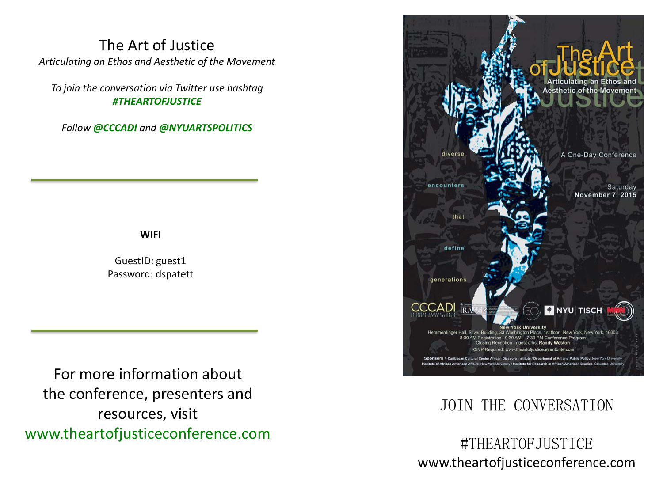## The Art of Justice *Articulating an Ethos and Aesthetic of the Movement*

*To join the conversation via Twitter use hashtag #THEARTOFJUSTICE*

*Follow @CCCADI and @NYUARTSPOLITICS* 

## **WIFI**

GuestID: guest1 Password: dspatett

For more information about the conference, presenters and resources, visit www.theartofjusticeconference.com



# JOIN THE CONVERSATION

#THEARTOFJUSTICE www.theartofjusticeconference.com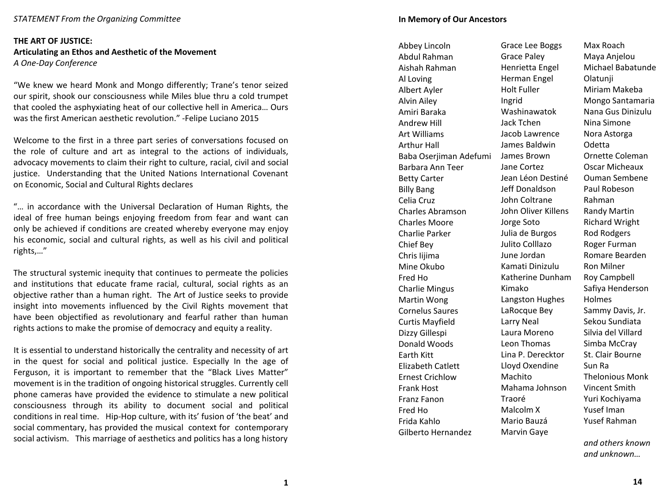#### *STATEMENT From the Organizing Committee*

### **THE ART OF JUSTICE: Articulating an Ethos and Aesthetic of the Movement** *A One-Day Conference*

"We knew we heard Monk and Mongo differently; Trane's tenor seized our spirit, shook our consciousness while Miles blue thru a cold trumpet that cooled the asphyxiating heat of our collective hell in America… Ours was the first American aesthetic revolution." -Felipe Luciano 2015

Welcome to the first in a three part series of conversations focused on the role of culture and art as integral to the actions of individuals, advocacy movements to claim their right to culture, racial, civil and social justice. Understanding that the United Nations International Covenant on Economic, Social and Cultural Rights declares

"… in accordance with the Universal Declaration of Human Rights, the ideal of free human beings enjoying freedom from fear and want can only be achieved if conditions are created whereby everyone may enjoy his economic, social and cultural rights, as well as his civil and political rights,…"

The structural systemic inequity that continues to permeate the policies and institutions that educate frame racial, cultural, social rights as an objective rather than a human right. The Art of Justice seeks to provide insight into movements influenced by the Civil Rights movement that have been objectified as revolutionary and fearful rather than human rights actions to make the promise of democracy and equity a reality.

It is essential to understand historically the centrality and necessity of art in the quest for social and political justice. Especially In the age of Ferguson, it is important to remember that the "Black Lives Matter" movement is in the tradition of ongoing historical struggles. Currently cell phone cameras have provided the evidence to stimulate a new political consciousness through its ability to document social and political conditions in real time. Hip-Hop culture, with its' fusion of 'the beat' and social commentary, has provided the musical context for contemporary social activism. This marriage of aesthetics and politics has a long history

Abbey Lincoln

Abdul Rahman Aishah Rahman Al Loving Albert Ayler Alvin Ailey Amiri Baraka Andrew Hill Art Williams Arthur Hall Baba Oserjiman Adefumi Barbara Ann Teer Betty Carter Billy Bang Celia Cruz Charles Abramson Charles Moore Charlie Parker Chief Bey Chris Iijima Mine Okubo Fred Ho Charlie Mingus Martin Wong Cornelus Saures Curtis Mayfield Dizzy Gillespi Donald Woods Earth Kitt Elizabeth Catlett Ernest Crichlow Frank Host Franz Fanon Fred Ho Frida Kahlo Gilberto Hernandez

Grace Lee Boggs Grace Paley Henrietta Engel Herman Engel Holt Fuller Ingrid Washinawatok Jack Tchen Jacob Lawrence James Baldwin James Brown Jane Cortez Jean Léon Destiné Jeff Donaldson John Coltrane John Oliver Killens Jorge Soto Julia de Burgos Julito Colllazo June Jordan Kamati Dinizulu Katherine Dunham Kimako Langston Hughes LaRocque Bey Larry Neal Laura Moreno Leon Thomas Lina P. Derecktor Lloyd Oxendine Machito Mahama Johnson Traoré Malcolm X Mario Bauzá Marvin Gaye

Max Roach Maya Anjelou Michael Babatunde Olatunji Miriam Makeba Mongo Santamaria Nana Gus Dinizulu Nina Simone Nora Astorga Odetta Ornette Coleman Oscar Micheaux Ouman Sembene Paul Robeson Rahman Randy Martin Richard Wright Rod Rodgers Roger Furman Romare Bearden Ron Milner Roy Campbell Safiya Henderson Holmes Sammy Davis, Jr. Sekou Sundiata Silvia del Villard Simba McCray St. Clair Bourne Sun Ra Thelonious Monk Vincent Smith Yuri Kochiyama Yusef Iman Yusef Rahman

*and others known and unknown…*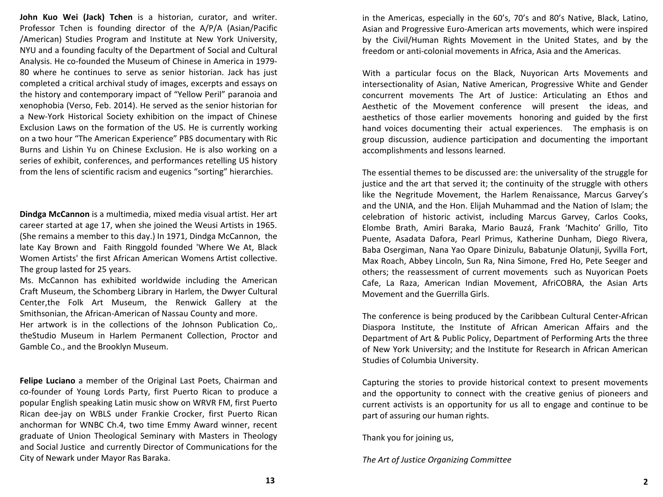**John Kuo Wei (Jack) Tchen** is a historian, curator, and writer. Professor Tchen is founding director of the A/P/A (Asian/Pacific /American) Studies Program and Institute at New York University, NYU and a founding faculty of the Department of Social and Cultural Analysis. He co-founded the Museum of Chinese in America in 1979- 80 where he continues to serve as senior historian. Jack has just completed a critical archival study of images, excerpts and essays on the history and contemporary impact of "Yellow Peril" paranoia and xenophobia (Verso, Feb. 2014). He served as the senior historian for a New-York Historical Society exhibition on the impact of Chinese Exclusion Laws on the formation of the US. He is currently working on a two hour "The American Experience" PBS documentary with Ric Burns and Lishin Yu on Chinese Exclusion. He is also working on a series of exhibit, conferences, and performances retelling US history from the lens of scientific racism and eugenics "sorting" hierarchies.

**Dindga McCannon** is a multimedia, mixed media visual artist. Her art career started at age 17, when she joined the Weusi Artists in 1965. (She remains a member to this day.) In 1971, Dindga McCannon, the late Kay Brown and Faith Ringgold founded 'Where We At, Black Women Artists' the first African American Womens Artist collective. The group lasted for 25 years.

Ms. McCannon has exhibited worldwide including the American Craft Museum, the Schomberg Library in Harlem, the Dwyer Cultural Center,the Folk Art Museum, the Renwick Gallery at the Smithsonian, the African-American of Nassau County and more.

Her artwork is in the collections of the Johnson Publication Co,. theStudio Museum in Harlem Permanent Collection, Proctor and Gamble Co., and the Brooklyn Museum.

**Felipe Luciano** a member of the Original Last Poets, Chairman and co-founder of Young Lords Party, first Puerto Rican to produce a popular English speaking Latin music show on WRVR FM, first Puerto Rican dee-jay on WBLS under Frankie Crocker, first Puerto Rican anchorman for WNBC Ch.4, two time Emmy Award winner, recent graduate of Union Theological Seminary with Masters in Theology and Social Justice and currently Director of Communications for the City of Newark under Mayor Ras Baraka.

in the Americas, especially in the 60's, 70's and 80's Native, Black, Latino, Asian and Progressive Euro-American arts movements, which were inspired by the Civil/Human Rights Movement in the United States, and by the freedom or anti-colonial movements in Africa, Asia and the Americas.

With a particular focus on the Black, Nuyorican Arts Movements and intersectionality of Asian, Native American, Progressive White and Gender concurrent movements The Art of Justice: Articulating an Ethos and Aesthetic of the Movement conference will present the ideas, and aesthetics of those earlier movements honoring and guided by the first hand voices documenting their actual experiences. The emphasis is on group discussion, audience participation and documenting the important accomplishments and lessons learned.

The essential themes to be discussed are: the universality of the struggle for justice and the art that served it; the continuity of the struggle with others like the Negritude Movement, the Harlem Renaissance, Marcus Garvey's and the UNIA, and the Hon. Elijah Muhammad and the Nation of Islam; the celebration of historic activist, including Marcus Garvey, Carlos Cooks, Elombe Brath, Amiri Baraka, Mario Bauzá, Frank 'Machito' Grillo, Tito Puente, Asadata Dafora, Pearl Primus, Katherine Dunham, Diego Rivera, Baba Osergiman, Nana Yao Opare Dinizulu, Babatunje Olatunji, Syvilla Fort, Max Roach, Abbey Lincoln, Sun Ra, Nina Simone, Fred Ho, Pete Seeger and others; the reassessment of current movements such as Nuyorican Poets Cafe, La Raza, American Indian Movement, AfriCOBRA, the Asian Arts Movement and the Guerrilla Girls.

The conference is being produced by the Caribbean Cultural Center-African Diaspora Institute, the Institute of African American Affairs and the Department of Art & Public Policy, Department of Performing Arts the three of New York University; and the Institute for Research in African American Studies of Columbia University.

Capturing the stories to provide historical context to present movements and the opportunity to connect with the creative genius of pioneers and current activists is an opportunity for us all to engage and continue to be part of assuring our human rights.

Thank you for joining us,

*The Art of Justice Organizing Committee*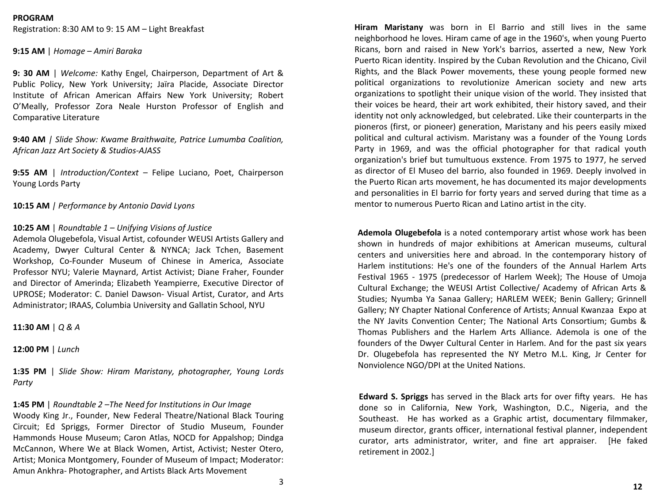#### **PROGRAM**

Registration: 8:30 AM to 9: 15 AM – Light Breakfast

**9:15 AM** | *Homage – Amiri Baraka*

**9: 30 AM** | *Welcome:* Kathy Engel, Chairperson, Department of Art & Public Policy, New York University; Jaïra Placide, Associate Director Institute of African American Affairs New York University; Robert O'Meally, Professor Zora Neale Hurston Professor of English and Comparative Literature

**9:40 AM** *| Slide Show: Kwame Braithwaite, Patrice Lumumba Coalition, African Jazz Art Society & Studios-AJASS*

**9:55 AM** | *Introduction/Context* – Felipe Luciano, Poet, Chairperson Young Lords Party

**10:15 AM** *| Performance by Antonio David Lyons*

#### **10:25 AM** | *Roundtable 1 – Unifying Visions of Justice*

Ademola Olugebefola, Visual Artist, cofounder WEUSI Artists Gallery and Academy, Dwyer Cultural Center & NYNCA; Jack Tchen, Basement Workshop, Co-Founder Museum of Chinese in America, Associate Professor NYU; Valerie Maynard, Artist Activist; Diane Fraher, Founder and Director of Amerinda; Elizabeth Yeampierre, Executive Director of UPROSE; Moderator: C. Daniel Dawson- Visual Artist, Curator, and Arts Administrator; IRAAS, Columbia University and Gallatin School, NYU

**11:30 AM** | *Q & A*

**12:00 PM** | *Lunch*

**1:35 PM** | *Slide Show: Hiram Maristany, photographer, Young Lords Party*

**1:45 PM** | *Roundtable 2 –The Need for Institutions in Our Image* Woody King Jr., Founder, New Federal Theatre/National Black Touring Circuit; Ed Spriggs, Former Director of Studio Museum, Founder Hammonds House Museum; Caron Atlas, NOCD for Appalshop; Dindga McCannon, Where We at Black Women, Artist, Activist; Nester Otero, Artist; Monica Montgomery, Founder of Museum of Impact; Moderator: Amun Ankhra- Photographer, and Artists Black Arts Movement

**Hiram Maristany** was born in El Barrio and still lives in the same neighborhood he loves. Hiram came of age in the 1960's, when young Puerto Ricans, born and raised in New York's barrios, asserted a new, New York Puerto Rican identity. Inspired by the Cuban Revolution and the Chicano, Civil Rights, and the Black Power movements, these young people formed new political organizations to revolutionize American society and new arts organizations to spotlight their unique vision of the world. They insisted that their voices be heard, their art work exhibited, their history saved, and their identity not only acknowledged, but celebrated. Like their counterparts in the pioneros (first, or pioneer) generation, Maristany and his peers easily mixed political and cultural activism. Maristany was a founder of the Young Lords Party in 1969, and was the official photographer for that radical youth organization's brief but tumultuous exstence. From 1975 to 1977, he served as director of El Museo del barrio, also founded in 1969. Deeply involved in the Puerto Rican arts movement, he has documented its major developments and personalities in El barrio for forty years and served during that time as a mentor to numerous Puerto Rican and Latino artist in the city.

**Ademola Olugebefola** is a noted contemporary artist whose work has been shown in hundreds of major exhibitions at American museums, cultural centers and universities here and abroad. In the contemporary history of Harlem institutions: He's one of the founders of the Annual Harlem Arts Festival 1965 - 1975 (predecessor of Harlem Week); The House of Umoja Cultural Exchange; the WEUSI Artist Collective/ Academy of African Arts & Studies; Nyumba Ya Sanaa Gallery; HARLEM WEEK; Benin Gallery; Grinnell Gallery; NY Chapter National Conference of Artists; Annual Kwanzaa Expo at the NY Javits Convention Center; The National Arts Consortium; Gumbs & Thomas Publishers and the Harlem Arts Alliance. Ademola is one of the founders of the Dwyer Cultural Center in Harlem. And for the past six years Dr. Olugebefola has represented the NY Metro M.L. King, Jr Center for Nonviolence NGO/DPI at the United Nations.

**Edward S. Spriggs** has served in the Black arts for over fifty years. He has done so in California, New York, Washington, D.C., Nigeria, and the Southeast. He has worked as a Graphic artist, documentary filmmaker, museum director, grants officer, international festival planner, independent curator, arts administrator, writer, and fine art appraiser. [He faked retirement in 2002.]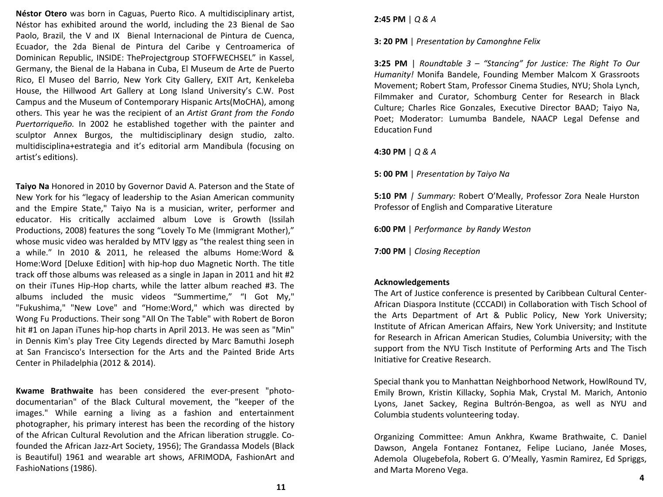**Néstor Otero** was born in Caguas, Puerto Rico. A multidisciplinary artist, Néstor has exhibited around the world, including the 23 Bienal de Sao Paolo, Brazil, the V and IX Bienal Internacional de Pintura de Cuenca, Ecuador, the 2da Bienal de Pintura del Caribe y Centroamerica of Dominican Republic, INSIDE: TheProjectgroup STOFFWECHSEL" in Kassel, Germany, the Bienal de la Habana in Cuba, El Museum de Arte de Puerto Rico, El Museo del Barrio, New York City Gallery, EXIT Art, Kenkeleba House, the Hillwood Art Gallery at Long Island University's C.W. Post Campus and the Museum of Contemporary Hispanic Arts(MoCHA), among others. This year he was the recipient of an *Artist Grant from the Fondo Puertorriqueño.* In 2002 he established together with the painter and sculptor Annex Burgos, the multidisciplinary design studio, zalto. multidisciplina+estrategia and it's editorial arm Mandibula (focusing on artist's editions).

**Taiyo Na** Honored in 2010 by Governor David A. Paterson and the State of New York for his "legacy of leadership to the Asian American community and the Empire State," Taiyo Na is a musician, writer, performer and educator. His critically acclaimed album Love is Growth (Issilah Productions, 2008) features the song "Lovely To Me (Immigrant Mother)," whose music video was heralded by MTV Iggy as "the realest thing seen in a while." In 2010 & 2011, he released the albums Home:Word & Home:Word [Deluxe Edition] with hip-hop duo Magnetic North. The title track off those albums was released as a single in Japan in 2011 and hit #2 on their iTunes Hip-Hop charts, while the latter album reached #3. The albums included the music videos "Summertime," "I Got My," "Fukushima," "New Love" and "Home:Word," which was directed by Wong Fu Productions. Their song "All On The Table" with Robert de Boron hit #1 on Japan iTunes hip-hop charts in April 2013. He was seen as "Min" in Dennis Kim's play Tree City Legends directed by Marc Bamuthi Joseph at San Francisco's Intersection for the Arts and the Painted Bride Arts Center in Philadelphia (2012 & 2014).

**Kwame Brathwaite** has been considered the ever-present "photodocumentarian" of the Black Cultural movement, the "keeper of the images." While earning a living as a fashion and entertainment photographer, his primary interest has been the recording of the history of the African Cultural Revolution and the African liberation struggle. Cofounded the African Jazz-Art Society, 1956); The Grandassa Models (Black is Beautiful) 1961 and wearable art shows, AFRIMODA, FashionArt and FashioNations (1986).

**2:45 PM** | *Q & A*

**3: 20 PM** | *Presentation by Camonghne Felix*

**3:25 PM** | *Roundtable 3 – "Stancing" for Justice: The Right To Our Humanity!* Monifa Bandele, Founding Member Malcom X Grassroots Movement; Robert Stam, Professor Cinema Studies, NYU; Shola Lynch, Filmmaker and Curator, Schomburg Center for Research in Black Culture; Charles Rice Gonzales, Executive Director BAAD; Taiyo Na, Poet; Moderator: Lumumba Bandele, NAACP Legal Defense and Education Fund

**4:30 PM** | *Q & A*

**5: 00 PM** | *Presentation by Taiyo Na*

**5:10 PM** *| Summary:* Robert O'Meally, Professor Zora Neale Hurston Professor of English and Comparative Literature

**6:00 PM** | *Performance by Randy Weston*

**7:00 PM** | *Closing Reception*

## **Acknowledgements**

The Art of Justice conference is presented by Caribbean Cultural Center-African Diaspora Institute (CCCADI) in Collaboration with Tisch School of the Arts Department of Art & Public Policy, New York University; Institute of African American Affairs, New York University; and Institute for Research in African American Studies, Columbia University; with the support from the NYU Tisch Institute of Performing Arts and The Tisch Initiative for Creative Research.

Special thank you to Manhattan Neighborhood Network, HowlRound TV, Emily Brown, Kristin Killacky, Sophia Mak, Crystal M. Marich, Antonio Lyons, Janet Sackey, Regina Bultrón-Bengoa, as well as NYU and Columbia students volunteering today.

Organizing Committee: Amun Ankhra, Kwame Brathwaite, C. Daniel Dawson, Angela Fontanez Fontanez, Felipe Luciano, Janée Moses, Ademola Olugebefola, Robert G. O'Meally, Yasmin Ramirez, Ed Spriggs, and Marta Moreno Vega. **<sup>4</sup>**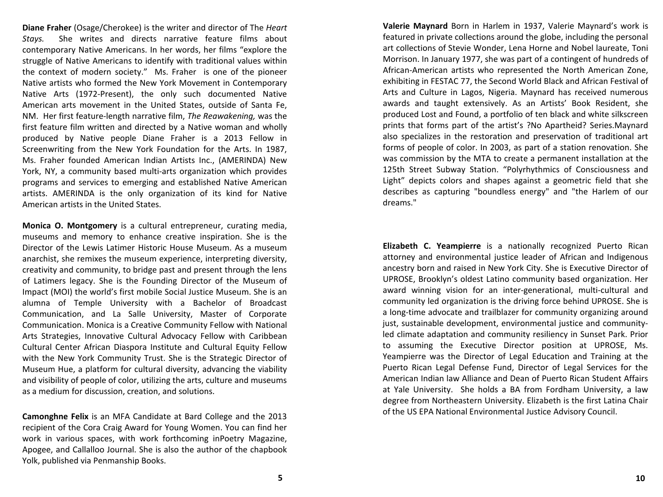**Diane Fraher** (Osage/Cherokee) is the writer and director of The *Heart Stays.* She writes and directs narrative feature films about contemporary Native Americans. In her words, her films "explore the struggle of Native Americans to identify with traditional values within the context of modern society." Ms. Fraher is one of the pioneer Native artists who formed the New York Movement in Contemporary Native Arts (1972-Present), the only such documented Native American arts movement in the United States, outside of Santa Fe, NM. Her first feature-length narrative film, *The Reawakening,* was the first feature film written and directed by a Native woman and wholly produced by Native people Diane Fraher is a 2013 Fellow in Screenwriting from the New York Foundation for the Arts. In 1987, Ms. Fraher founded American Indian Artists Inc., (AMERINDA) New York, NY, a community based multi-arts organization which provides programs and services to emerging and established Native American artists. AMERINDA is the only organization of its kind for Native American artists in the United States.

**Monica O. Montgomery** is a cultural entrepreneur, curating media, museums and memory to enhance creative inspiration. She is the Director of the Lewis Latimer Historic House Museum. As a museum anarchist, she remixes the museum experience, interpreting diversity, creativity and community, to bridge past and present through the lens of Latimers legacy. She is the Founding Director of the Museum of Impact (MOI) the world's first mobile Social Justice Museum. She is an alumna of Temple University with a Bachelor of Broadcast Communication, and La Salle University, Master of Corporate Communication. Monica is a Creative Community Fellow with National Arts Strategies, Innovative Cultural Advocacy Fellow with Caribbean Cultural Center African Diaspora Institute and Cultural Equity Fellow with the New York Community Trust. She is the Strategic Director of Museum Hue, a platform for cultural diversity, advancing the viability and visibility of people of color, utilizing the arts, culture and museums as a medium for discussion, creation, and solutions.

**Camonghne Felix** is an MFA Candidate at Bard College and the 2013 recipient of the Cora Craig Award for Young Women. You can find her work in various spaces, with work forthcoming inPoetry Magazine, Apogee, and Callalloo Journal. She is also the author of the chapbook Yolk, published via Penmanship Books.

**Valerie Maynard** Born in Harlem in 1937, Valerie Maynard's work is featured in private collections around the globe, including the personal art collections of Stevie Wonder, Lena Horne and Nobel laureate, Toni Morrison. In January 1977, she was part of a contingent of hundreds of African-American artists who represented the North American Zone, exhibiting in FESTAC 77, the Second World Black and African Festival of Arts and Culture in Lagos, Nigeria. Maynard has received numerous awards and taught extensively. As an Artists' Book Resident, she produced Lost and Found, a portfolio of ten black and white silkscreen prints that forms part of the artist's ?No Apartheid? Series.Maynard also specializes in the restoration and preservation of traditional art forms of people of color. In 2003, as part of a station renovation. She was commission by the MTA to create a permanent installation at the 125th Street Subway Station. "Polyrhythmics of Consciousness and Light" depicts colors and shapes against a geometric field that she describes as capturing "boundless energy" and "the Harlem of our dreams."

**Elizabeth C. Yeampierre** is a nationally recognized Puerto Rican attorney and environmental justice leader of African and Indigenous ancestry born and raised in New York City. She is Executive Director of UPROSE, Brooklyn's oldest Latino community based organization. Her award winning vision for an inter-generational, multi-cultural and community led organization is the driving force behind UPROSE. She is a long-time advocate and trailblazer for community organizing around just, sustainable development, environmental justice and communityled climate adaptation and community resiliency in Sunset Park. Prior to assuming the Executive Director position at UPROSE, Ms. Yeampierre was the Director of Legal Education and Training at the Puerto Rican Legal Defense Fund, Director of Legal Services for the American Indian law Alliance and Dean of Puerto Rican Student Affairs at Yale University. She holds a BA from Fordham University, a law degree from Northeastern University. Elizabeth is the first Latina Chair of the US EPA National Environmental Justice Advisory Council.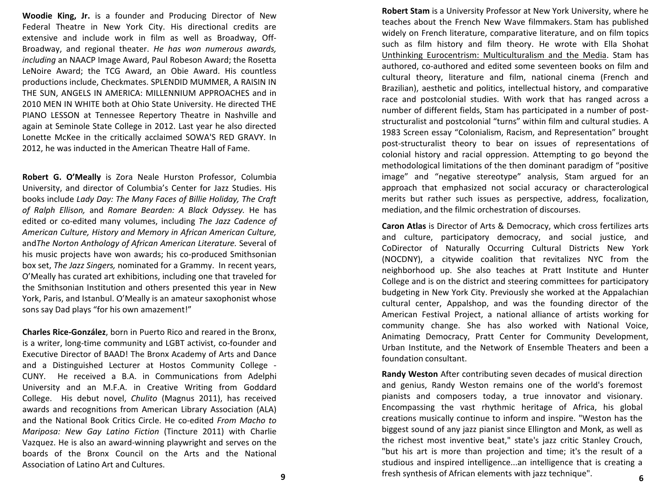**Woodie King, Jr.** is a founder and Producing Director of New Federal Theatre in New York City. His directional credits are extensive and include work in film as well as Broadway, Off-Broadway, and regional theater. *He has won numerous awards, including* an NAACP Image Award, Paul Robeson Award; the Rosetta LeNoire Award; the TCG Award, an Obie Award. His countless productions include, Checkmates. SPLENDID MUMMER, A RAISIN IN THE SUN, ANGELS IN AMERICA: MILLENNIUM APPROACHES and in 2010 MEN IN WHITE both at Ohio State University. He directed THE PIANO LESSON at Tennessee Repertory Theatre in Nashville and again at Seminole State College in 2012. Last year he also directed Lonette McKee in the critically acclaimed SOWA'S RED GRAVY. In 2012, he was inducted in the American Theatre Hall of Fame.

**Robert G. O'Meally** is Zora Neale Hurston Professor, Columbia University, and director of Columbia's Center for Jazz Studies. His books include *Lady Day: The Many Faces of Billie Holiday, The Craft of Ralph Ellison,* and *Romare Bearden: A Black Odyssey.* He has edited or co-edited many volumes, including *The Jazz Cadence of American Culture, History and Memory in African American Culture,* and*The Norton Anthology of African American Literature.* Several of his music projects have won awards; his co-produced Smithsonian box set, *The Jazz Singers,* nominated for a Grammy. In recent years, O'Meally has curated art exhibitions, including one that traveled for the Smithsonian Institution and others presented this year in New York, Paris, and Istanbul. O'Meally is an amateur saxophonist whose sons say Dad plays "for his own amazement!"

**Charles Rice-González**, born in Puerto Rico and reared in the Bronx, is a writer, long-time community and LGBT activist, co-founder and Executive Director of BAAD! The Bronx Academy of Arts and Dance and a Distinguished Lecturer at Hostos Community College - CUNY. He received a B.A. in Communications from Adelphi University and an M.F.A. in Creative Writing from Goddard College. His debut novel, *Chulito* (Magnus 2011), has received awards and recognitions from American Library Association (ALA) and the National Book Critics Circle. He co-edited *From Macho to Mariposa: New Gay Latino Fiction* (Tincture 2011) with Charlie Vazquez. He is also an award-winning playwright and serves on the boards of the Bronx Council on the Arts and the National Association of Latino Art and Cultures.

**Robert Stam** is a University Professor at New York University, where he teaches about the French New Wave filmmakers. Stam has published widely on French literature, comparative literature, and on film topics such as film history and film theory. He wrote with Ella Shohat Unthinking Eurocentrism: Multiculturalism and the Media. Stam has authored, co-authored and edited some seventeen books on film and cultural theory, literature and film, national cinema (French and Brazilian), aesthetic and politics, intellectual history, and comparative race and postcolonial studies. With work that has ranged across a number of different fields, Stam has participated in a number of poststructuralist and postcolonial "turns" within film and cultural studies. A 1983 Screen essay "Colonialism, Racism, and Representation" brought post-structuralist theory to bear on issues of representations of colonial history and racial oppression. Attempting to go beyond the methodological limitations of the then dominant paradigm of "positive image" and "negative stereotype" analysis, Stam argued for an approach that emphasized not social accuracy or characterological merits but rather such issues as perspective, address, focalization, mediation, and the filmic orchestration of discourses.

**Caron Atlas** is Director of Arts & Democracy, which cross fertilizes arts and culture, participatory democracy, and social justice, and CoDirector of Naturally Occurring Cultural Districts New York (NOCDNY), a citywide coalition that revitalizes NYC from the neighborhood up. She also teaches at Pratt Institute and Hunter College and is on the district and steering committees for participatory budgeting in New York City. Previously she worked at the Appalachian cultural center, Appalshop, and was the founding director of the American Festival Project, a national alliance of artists working for community change. She has also worked with National Voice, Animating Democracy, Pratt Center for Community Development, Urban Institute, and the Network of Ensemble Theaters and been a foundation consultant.

**Randy Weston** After contributing seven decades of musical direction and genius, Randy Weston remains one of the world's foremost pianists and composers today, a true innovator and visionary. Encompassing the vast rhythmic heritage of Africa, his global creations musically continue to inform and inspire. "Weston has the biggest sound of any jazz pianist since Ellington and Monk, as well as the richest most inventive beat," state's jazz critic Stanley Crouch, "but his art is more than projection and time; it's the result of a studious and inspired intelligence...an intelligence that is creating a fresh synthesis of African elements with jazz technique". **9 6**